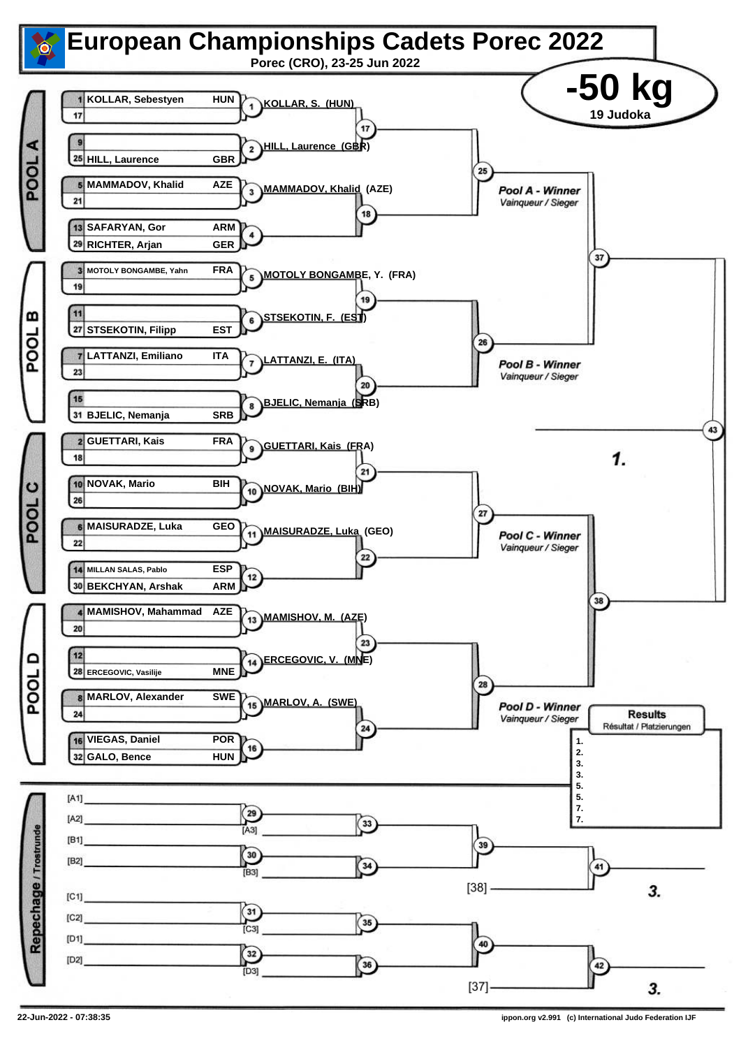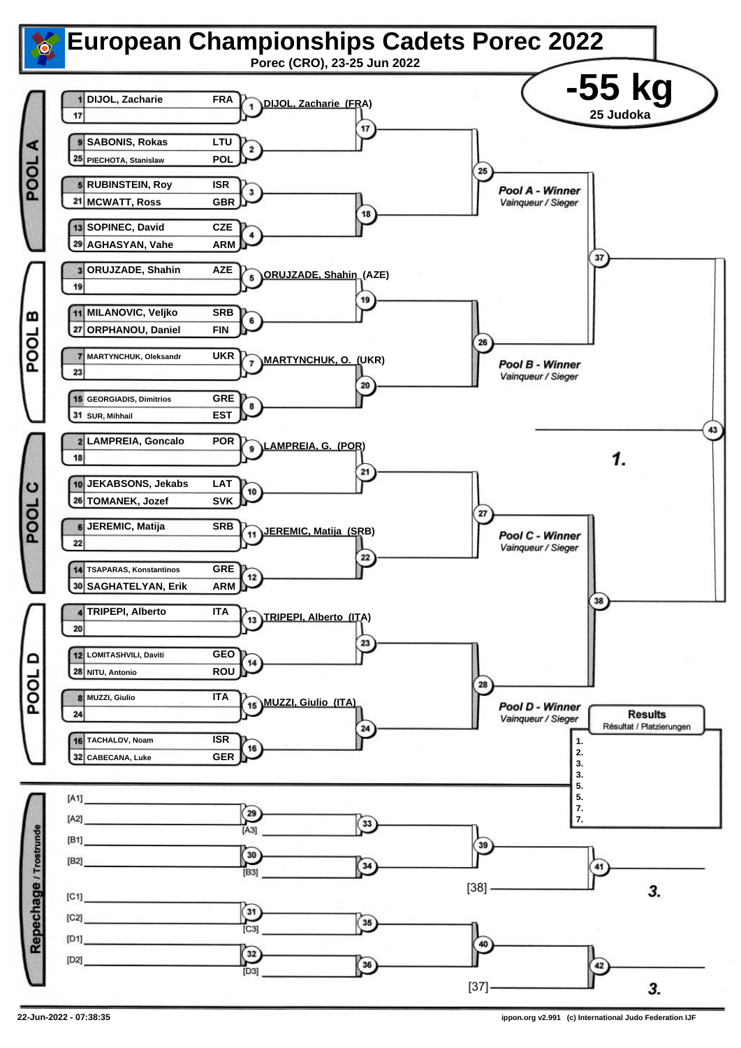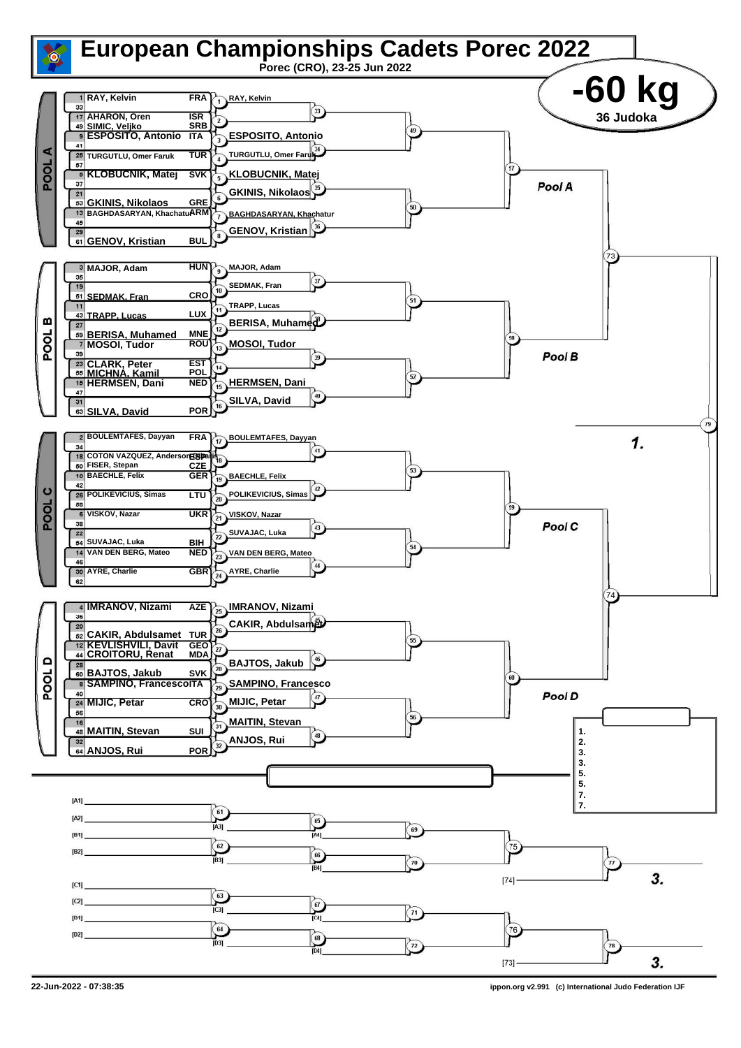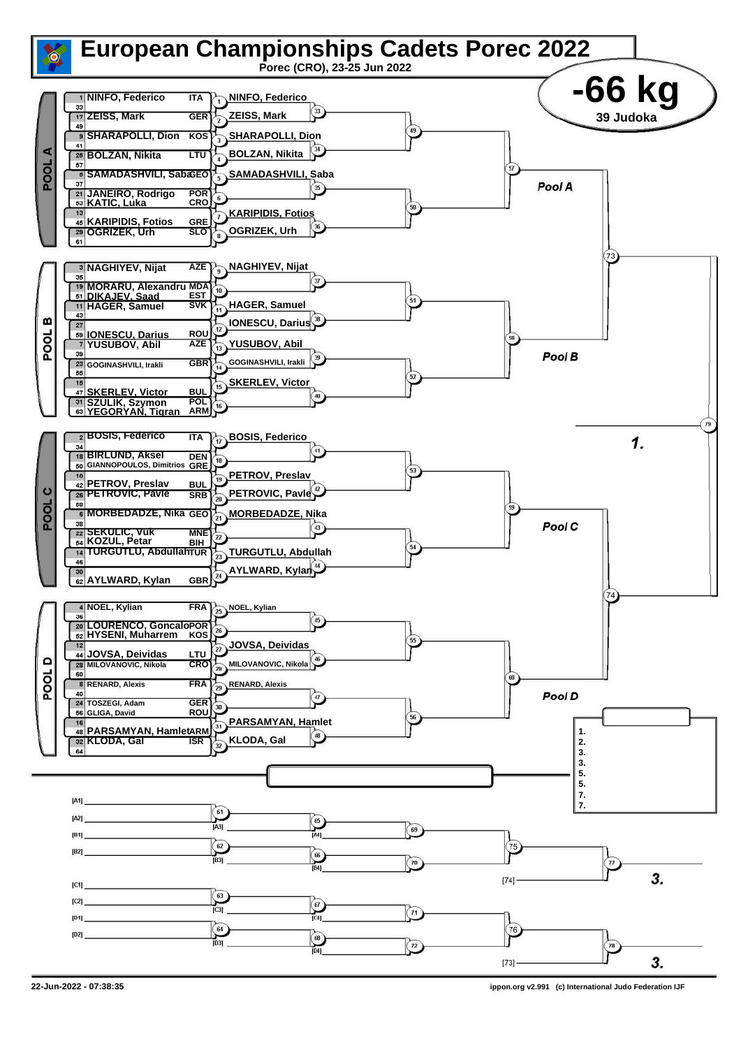

**<sup>22-</sup>Jun-2022 - 07:38:35 ippon.org v2.991 (c) International Judo Federation IJF**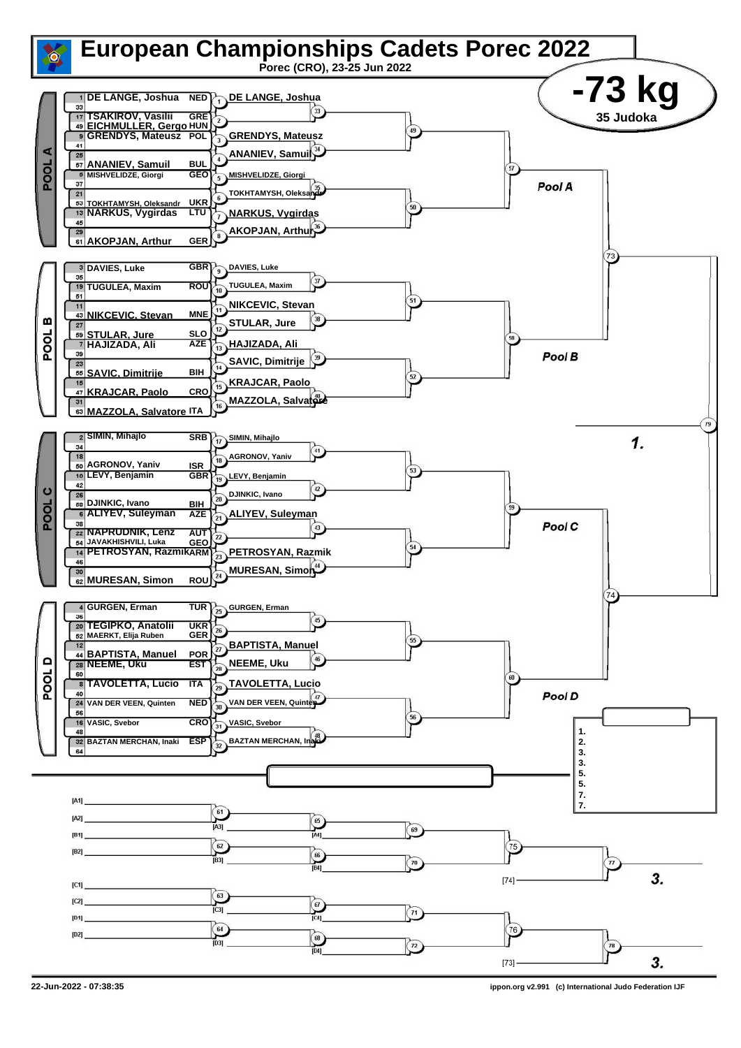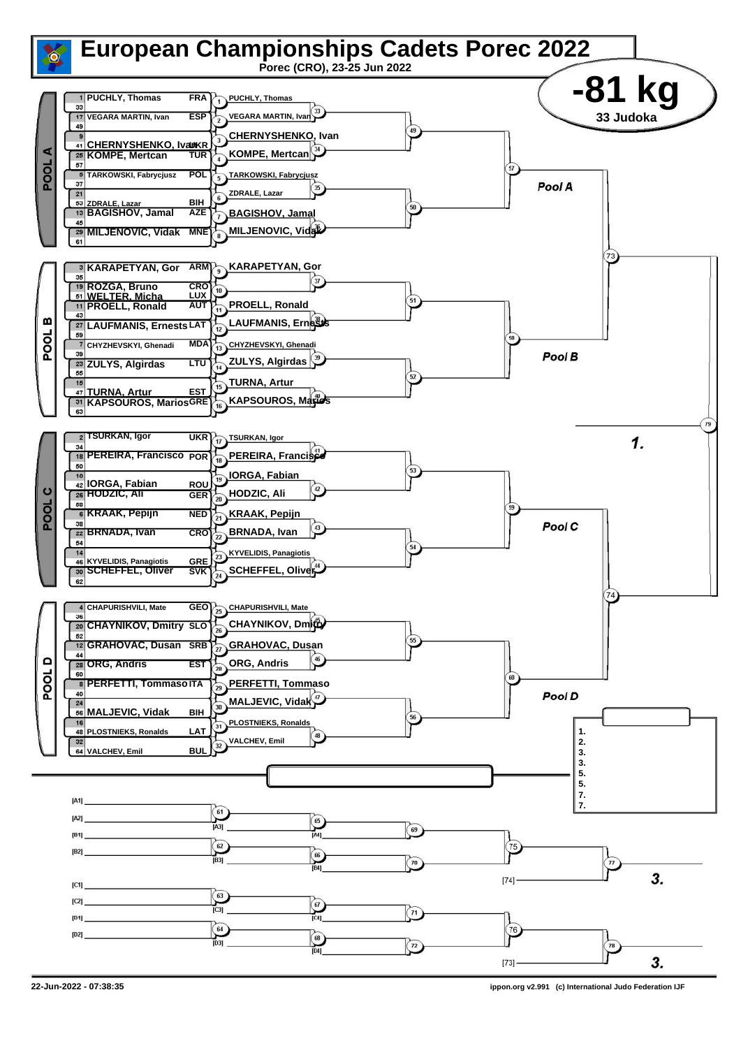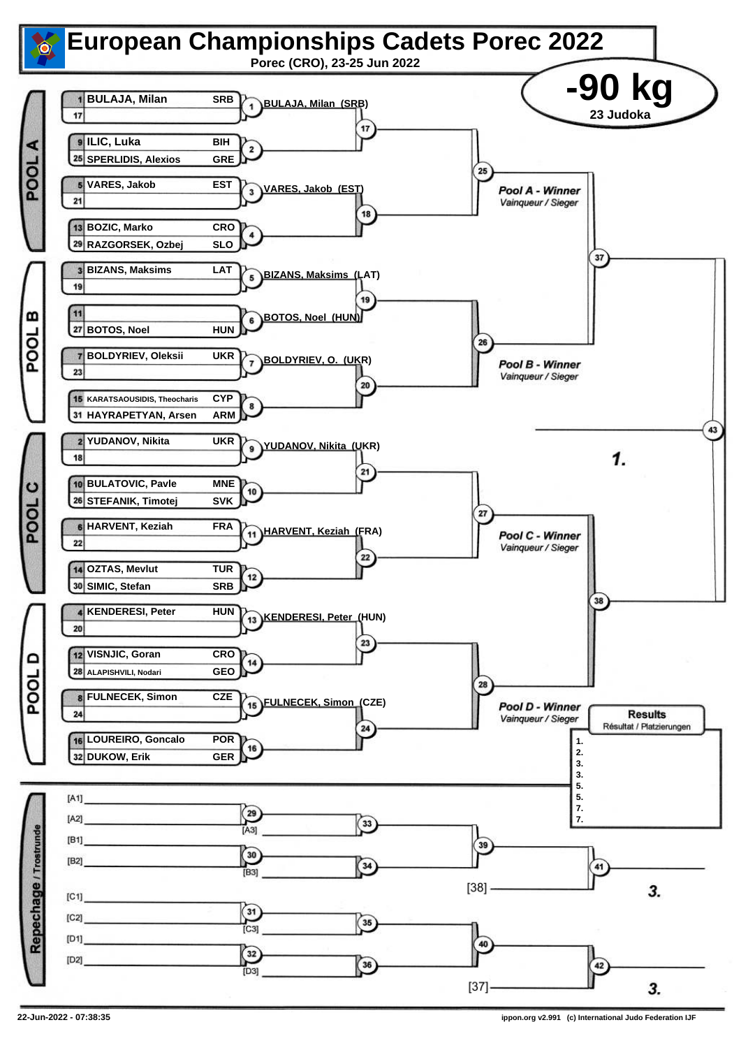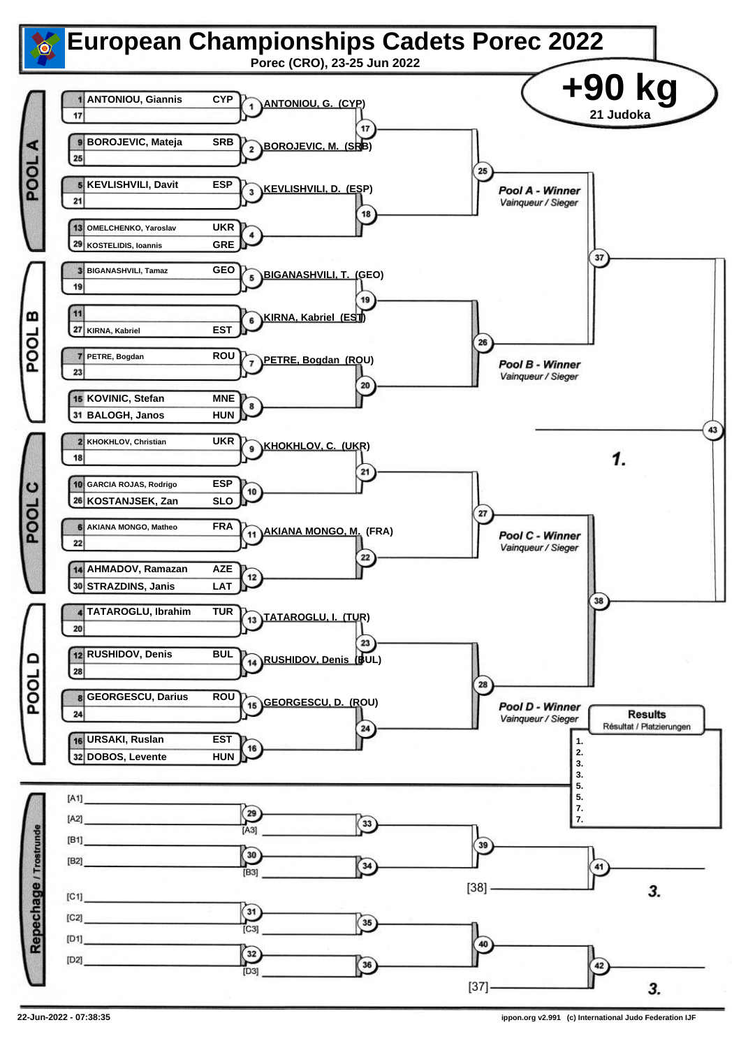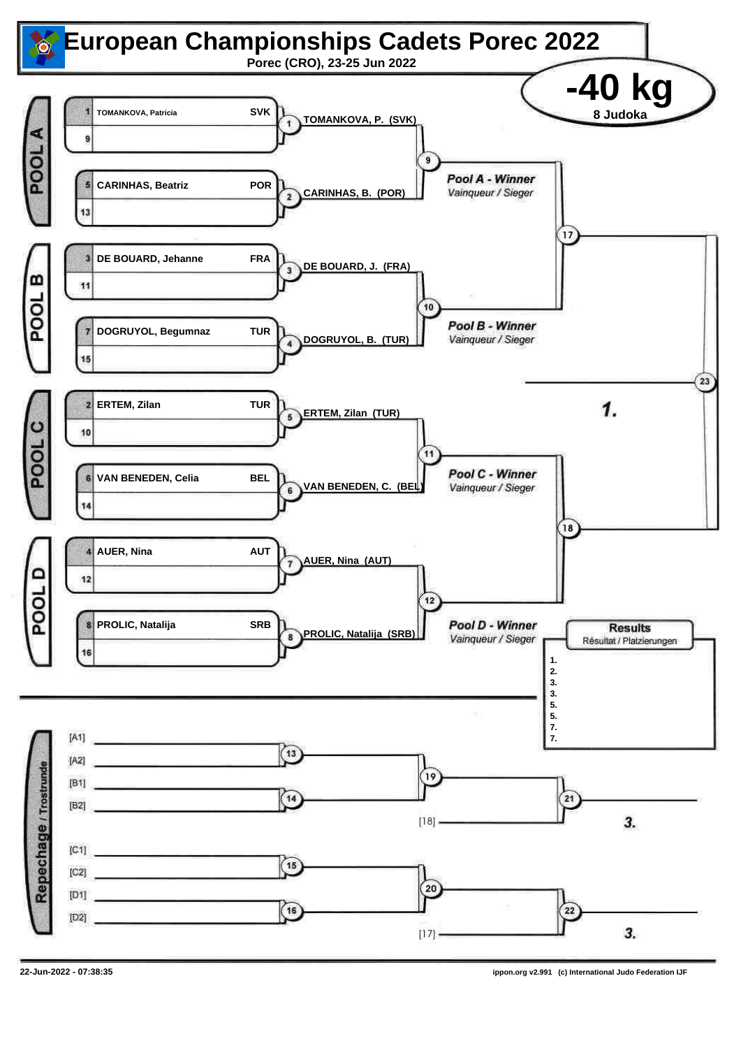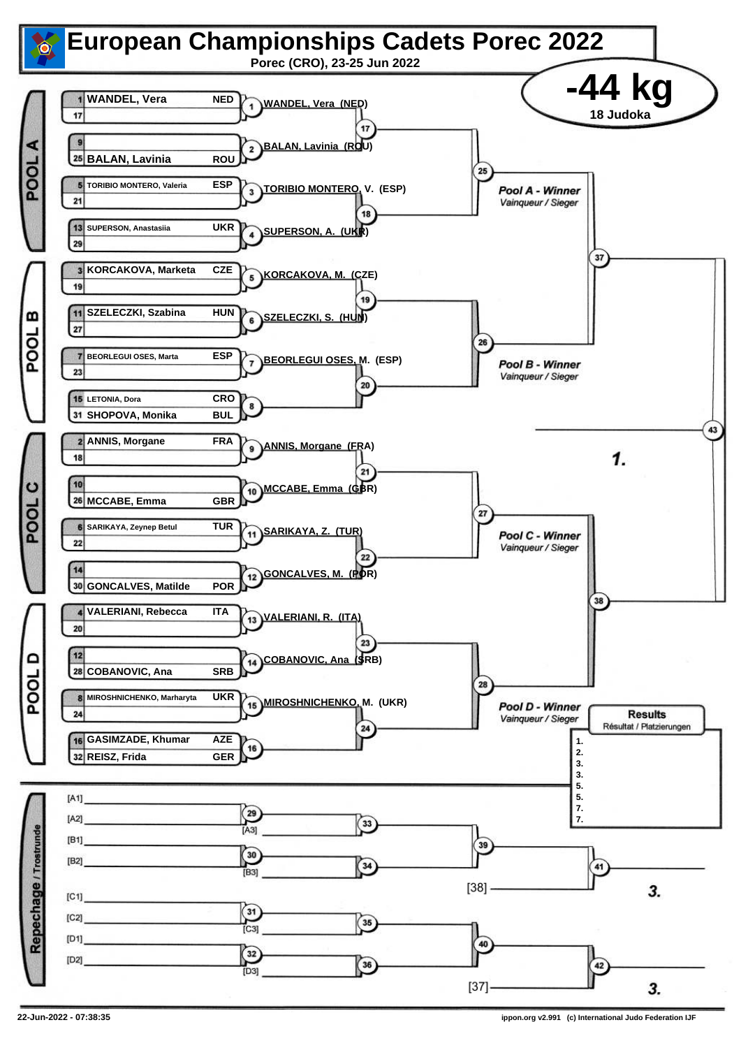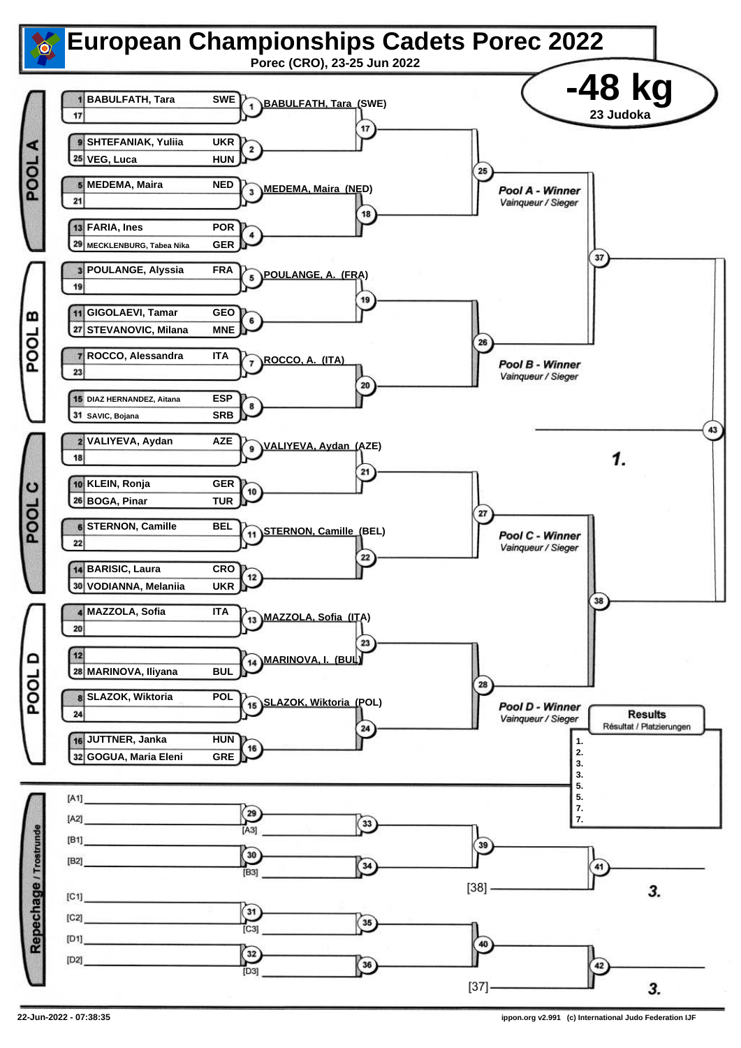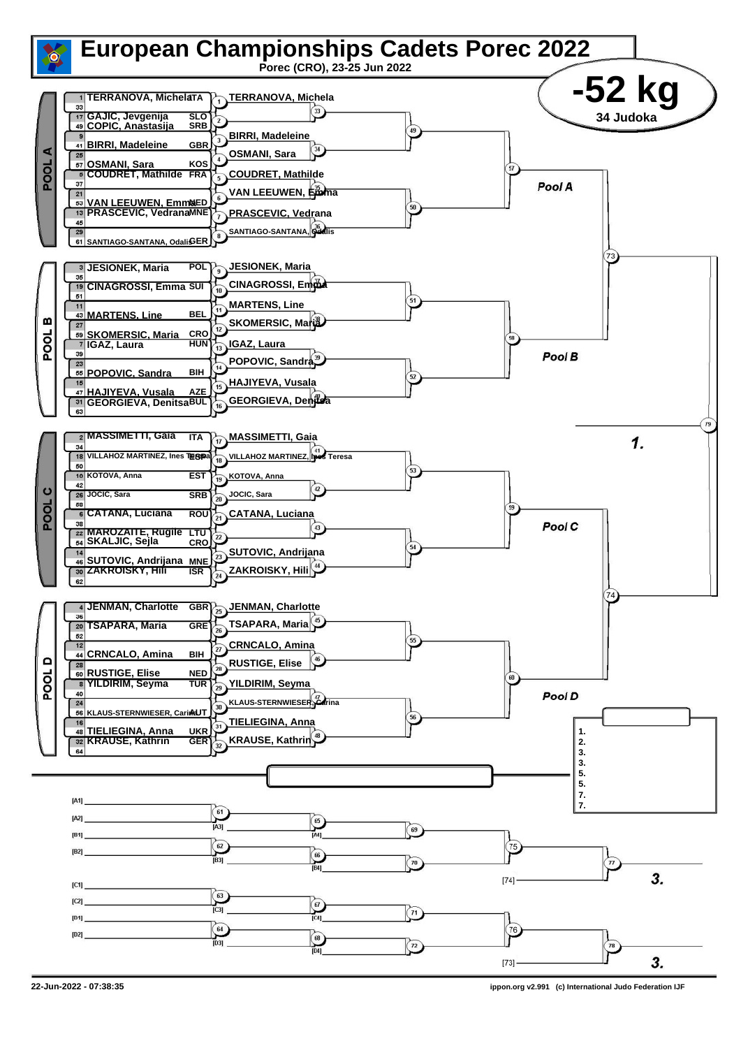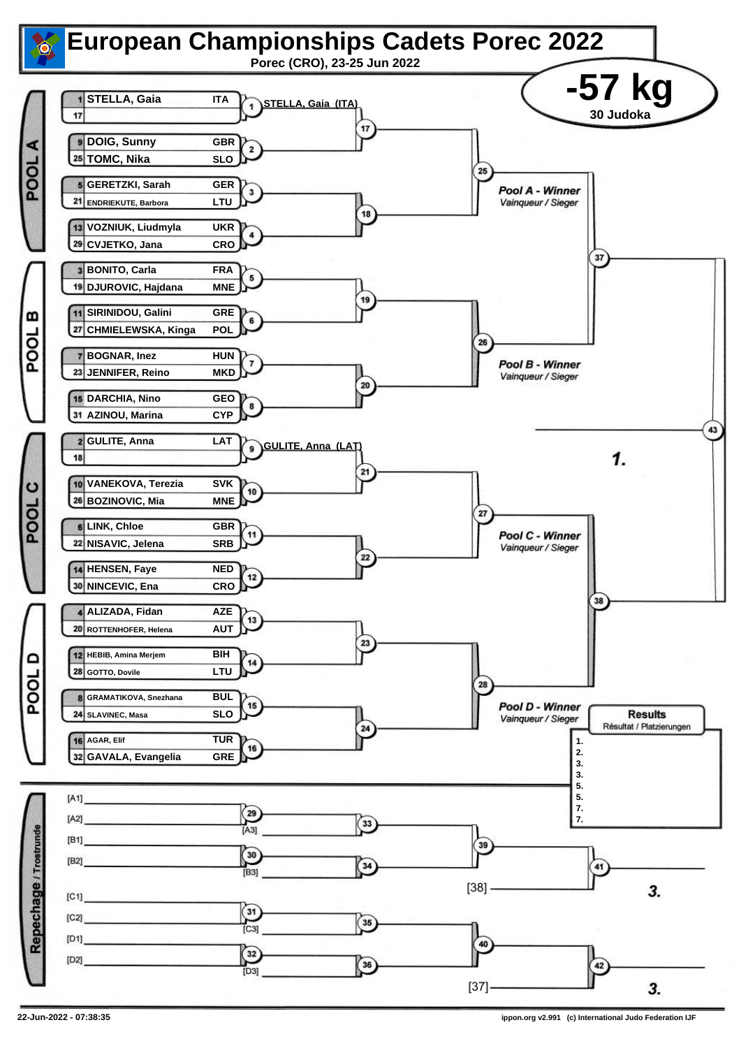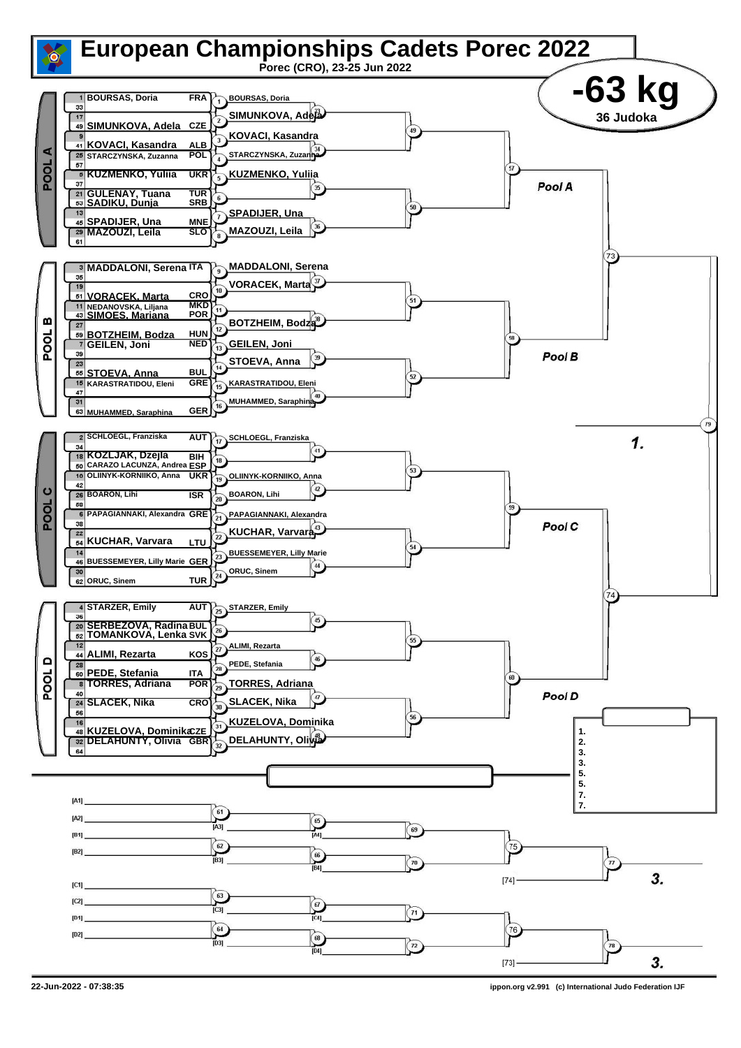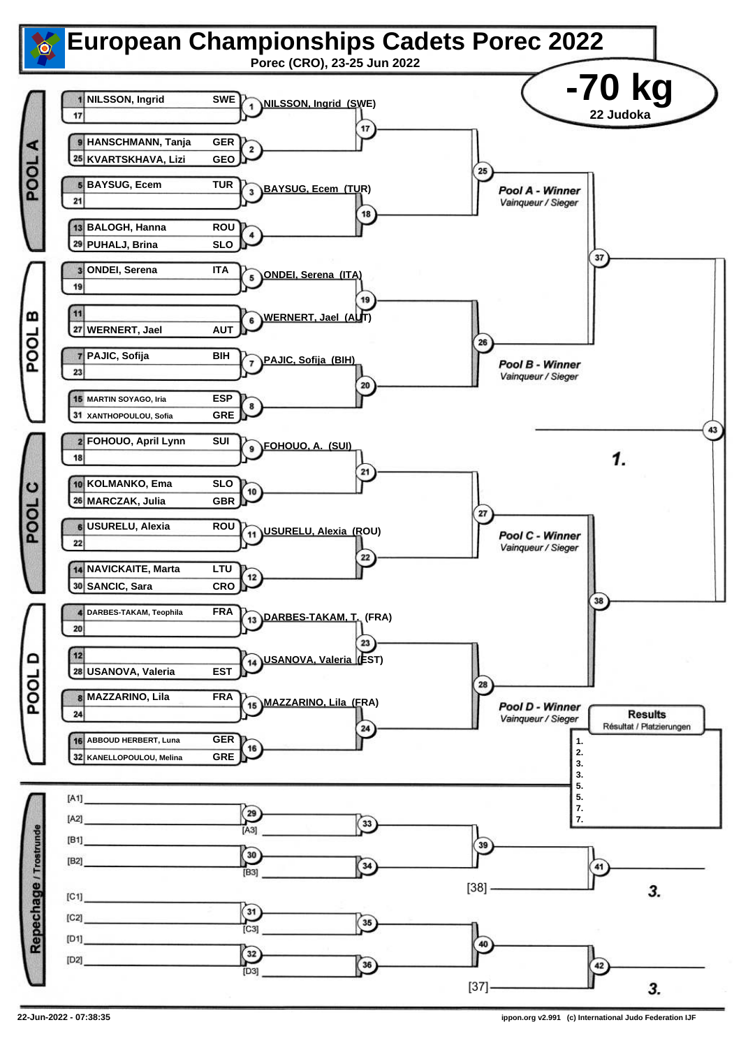